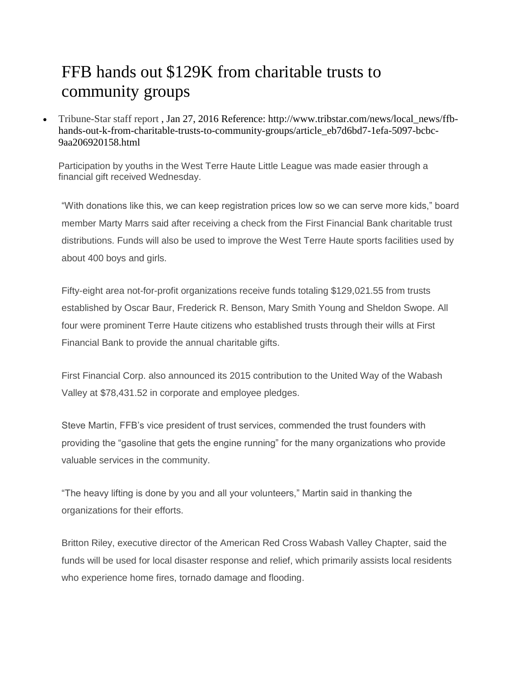## FFB hands out \$129K from charitable trusts to community groups

 [Tribune-Star staff report](http://siteencore.com/cnhi/crossvillechronicle/loading.html#rotftwetu=aHR0cHMlM0EvL3d3dy5nb29nbGUuY29tLw%3D%3D&ibothsahtrtd=aHR0cHMlM0EvL3RyaWJzdGFyLWRvdC1jb20uYmxveGNtcy5jb20vdXNlcnMvcHJvZmlsZS9MaXNhJTI1MjBUcmlnZw%3D%3D&shtlp=aHR0cCUzQS8vd3d3LnRyaWJzdGFyLmNvbS9uZXdzL2xvY2FsX25ld3MvZmZiLWhhbmRzLW91dC1rLWZyb20tY2hhcml0YWJsZS10cnVzdHMtdG8tY29tbXVuaXR5LWdyb3Vwcy9hcnRpY2xlX2ViN2Q2YmQ3LTFlZmEtNTA5Ny1iY2JjLTlhYTIwNjkyMDE1OC5odG1s&otisu=aHR0cCUzQS8vd3d3LnNpdGVlbmNvcmUuY29tL2NuaGkvdHJpYnN0YXIvc3BlY2lhbC5odG1s&x=0&y=0&w=1280&h=984&t=14592757901571&tokenID=PRANGE96NJQ9K6EBBREWVRNPU2O6YONAEZI&s=c2l0ZWVuY29yZS5jb20%3D) , Jan 27, 2016 Reference: http://www.tribstar.com/news/local\_news/ffbhands-out-k-from-charitable-trusts-to-community-groups/article\_eb7d6bd7-1efa-5097-bcbc-9aa206920158.html

Participation by youths in the West Terre Haute Little League was made easier through a financial gift received Wednesday.

"With donations like this, we can keep registration prices low so we can serve more kids," board member Marty Marrs said after receiving a check from the First Financial Bank charitable trust distributions. Funds will also be used to improve the West Terre Haute sports facilities used by about 400 boys and girls.

Fifty-eight area not-for-profit organizations receive funds totaling \$129,021.55 from trusts established by Oscar Baur, Frederick R. Benson, Mary Smith Young and Sheldon Swope. All four were prominent Terre Haute citizens who established trusts through their wills at First Financial Bank to provide the annual charitable gifts.

First Financial Corp. also announced its 2015 contribution to the United Way of the Wabash Valley at \$78,431.52 in corporate and employee pledges.

Steve Martin, FFB's vice president of trust services, commended the trust founders with providing the "gasoline that gets the engine running" for the many organizations who provide valuable services in the community.

"The heavy lifting is done by you and all your volunteers," Martin said in thanking the organizations for their efforts.

Britton Riley, executive director of the American Red Cross Wabash Valley Chapter, said the funds will be used for local disaster response and relief, which primarily assists local residents who experience home fires, tornado damage and flooding.